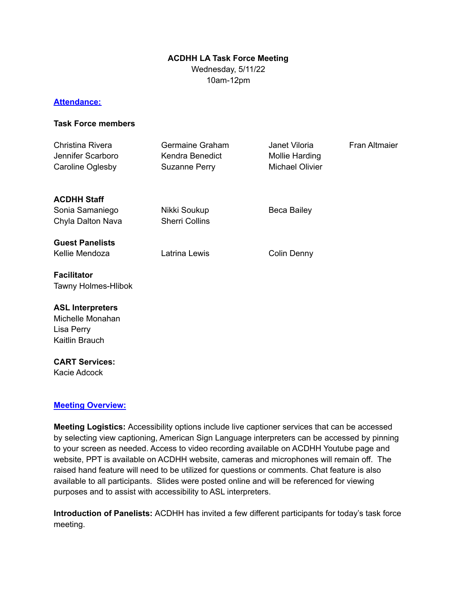# **ACDHH LA Task Force Meeting**

Wednesday, 5/11/22 10am-12pm

#### **Attendance:**

#### **Task Force members**

| Christina Rivera<br>Jennifer Scarboro<br>Caroline Oglesby                   | Germaine Graham<br>Kendra Benedict<br><b>Suzanne Perry</b> | Janet Viloria<br>Mollie Harding<br><b>Michael Olivier</b> | Fran Altmaier |
|-----------------------------------------------------------------------------|------------------------------------------------------------|-----------------------------------------------------------|---------------|
| <b>ACDHH Staff</b><br>Sonia Samaniego                                       | Nikki Soukup                                               | Beca Bailey                                               |               |
| Chyla Dalton Nava                                                           | <b>Sherri Collins</b>                                      |                                                           |               |
| <b>Guest Panelists</b><br>Kellie Mendoza                                    | Latrina Lewis                                              | Colin Denny                                               |               |
| <b>Facilitator</b><br>Tawny Holmes-Hlibok                                   |                                                            |                                                           |               |
| <b>ASL Interpreters</b><br>Michelle Monahan<br>Lisa Perry<br>Kaitlin Brauch |                                                            |                                                           |               |
| <b>CART Services:</b><br>Kacie Adcock                                       |                                                            |                                                           |               |

#### **Meeting Overview:**

**Meeting Logistics:** Accessibility options include live captioner services that can be accessed by selecting view captioning, American Sign Language interpreters can be accessed by pinning to your screen as needed. Access to video recording available on ACDHH Youtube page and website, PPT is available on ACDHH website, cameras and microphones will remain off. The raised hand feature will need to be utilized for questions or comments. Chat feature is also available to all participants. Slides were posted online and will be referenced for viewing purposes and to assist with accessibility to ASL interpreters.

**Introduction of Panelists:** ACDHH has invited a few different participants for today's task force meeting.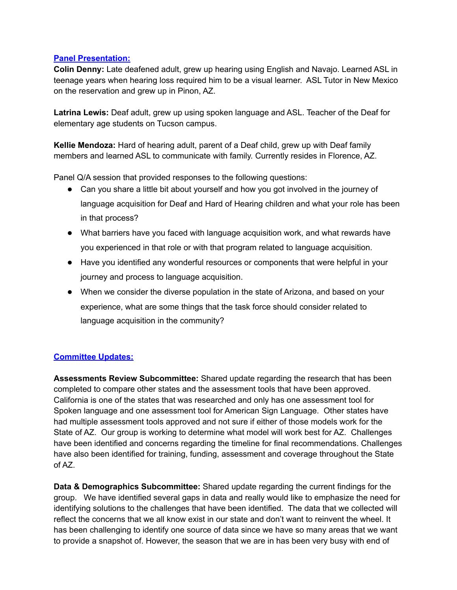#### **Panel Presentation:**

**Colin Denny:** Late deafened adult, grew up hearing using English and Navajo. Learned ASL in teenage years when hearing loss required him to be a visual learner. ASL Tutor in New Mexico on the reservation and grew up in Pinon, AZ.

**Latrina Lewis:** Deaf adult, grew up using spoken language and ASL. Teacher of the Deaf for elementary age students on Tucson campus.

**Kellie Mendoza:** Hard of hearing adult, parent of a Deaf child, grew up with Deaf family members and learned ASL to communicate with family. Currently resides in Florence, AZ.

Panel Q/A session that provided responses to the following questions:

- Can you share a little bit about yourself and how you got involved in the journey of language acquisition for Deaf and Hard of Hearing children and what your role has been in that process?
- What barriers have you faced with language acquisition work, and what rewards have you experienced in that role or with that program related to language acquisition.
- Have you identified any wonderful resources or components that were helpful in your journey and process to language acquisition.
- When we consider the diverse population in the state of Arizona, and based on your experience, what are some things that the task force should consider related to language acquisition in the community?

## **Committee Updates:**

**Assessments Review Subcommittee:** Shared update regarding the research that has been completed to compare other states and the assessment tools that have been approved. California is one of the states that was researched and only has one assessment tool for Spoken language and one assessment tool for American Sign Language. Other states have had multiple assessment tools approved and not sure if either of those models work for the State of AZ. Our group is working to determine what model will work best for AZ. Challenges have been identified and concerns regarding the timeline for final recommendations. Challenges have also been identified for training, funding, assessment and coverage throughout the State of AZ.

**Data & Demographics Subcommittee:** Shared update regarding the current findings for the group. We have identified several gaps in data and really would like to emphasize the need for identifying solutions to the challenges that have been identified. The data that we collected will reflect the concerns that we all know exist in our state and don't want to reinvent the wheel. It has been challenging to identify one source of data since we have so many areas that we want to provide a snapshot of. However, the season that we are in has been very busy with end of